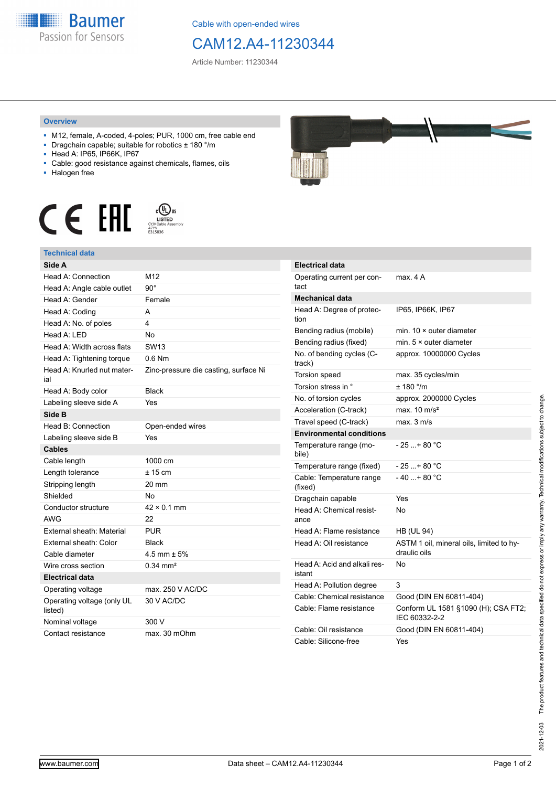

Cable with open-ended wires

## CAM12.A4-11230344

Article Number: 11230344

## **Overview**

- M12, female, A-coded, 4-poles; PUR, 1000 cm, free cable end
- Dragchain capable; suitable for robotics ± 180 °/m
- Head A: IP65, IP66K, IP67
- Cable: good resistance against chemicals, flames, oils
- Halogen free





| Side A                                |                                       |
|---------------------------------------|---------------------------------------|
| Head A: Connection                    | M12                                   |
| Head A: Angle cable outlet            | $90^\circ$                            |
| Head A: Gender                        | Female                                |
| Head A: Coding                        | А                                     |
| Head A: No. of poles                  | 4                                     |
| Head A: LED                           | No                                    |
| Head A: Width across flats            | SW <sub>13</sub>                      |
| Head A: Tightening torque             | $0.6$ Nm                              |
| Head A: Knurled nut mater-<br>ial     | Zinc-pressure die casting, surface Ni |
| Head A: Body color                    | <b>Black</b>                          |
| Labeling sleeve side A                | Yes                                   |
| Side B                                |                                       |
| Head B: Connection                    | Open-ended wires                      |
| Labeling sleeve side B                | Yes                                   |
| <b>Cables</b>                         |                                       |
| Cable length                          | 1000 cm                               |
| Length tolerance                      | $± 15$ cm                             |
| Stripping length                      | 20 mm                                 |
| Shielded                              | Nο                                    |
| Conductor structure                   | $42 \times 0.1$ mm                    |
| <b>AWG</b>                            | 22                                    |
| External sheath: Material             | <b>PUR</b>                            |
| External sheath: Color                | <b>Black</b>                          |
| Cable diameter                        | $4.5$ mm + $5\%$                      |
| Wire cross section                    | $0.34 \, \text{mm}^2$                 |
| <b>Electrical data</b>                |                                       |
| Operating voltage                     | max. 250 V AC/DC                      |
| Operating voltage (only UL<br>listed) | 30 V AC/DC                            |
| Nominal voltage                       | 300 V                                 |
| Contact resistance                    | max. 30 mOhm                          |



| <b>Electrical data</b>                 |                                                          |
|----------------------------------------|----------------------------------------------------------|
| Operating current per con-<br>tact     | max. 4 A                                                 |
| <b>Mechanical data</b>                 |                                                          |
| Head A: Degree of protec-<br>tion      | IP65, IP66K, IP67                                        |
| Bending radius (mobile)                | min. $10 \times$ outer diameter                          |
| Bending radius (fixed)                 | min. $5 \times$ outer diameter                           |
| No. of bending cycles (C-<br>track)    | approx. 10000000 Cycles                                  |
| Torsion speed                          | max. 35 cycles/min                                       |
| Torsion stress in °                    | ± 180 °/m                                                |
| No. of torsion cycles                  | approx. 2000000 Cycles                                   |
| Acceleration (C-track)                 | max. $10 \text{ m/s}^2$                                  |
| Travel speed (C-track)                 | max. 3 m/s                                               |
| <b>Environmental conditions</b>        |                                                          |
| Temperature range (mo-<br>bile)        | - 25 + 80 °C                                             |
| Temperature range (fixed)              | - 25 + 80 °C                                             |
| Cable: Temperature range<br>(fixed)    | $-40+80 °C$                                              |
| Dragchain capable                      | Yes                                                      |
| Head A: Chemical resist-<br>ance       | N٥                                                       |
| Head A: Flame resistance               | <b>HB (UL 94)</b>                                        |
| Head A: Oil resistance                 | ASTM 1 oil, mineral oils, limited to hy-<br>draulic oils |
| Head A: Acid and alkali res-<br>istant | No                                                       |
| Head A: Pollution degree               | 3                                                        |
| Cable: Chemical resistance             | Good (DIN EN 60811-404)                                  |
| Cable: Flame resistance                | Conform UL 1581 §1090 (H); CSA FT2;<br>IEC 60332-2-2     |
| Cable: Oil resistance                  | Good (DIN EN 60811-404)                                  |
| Cable: Silicone-free                   | Yes                                                      |